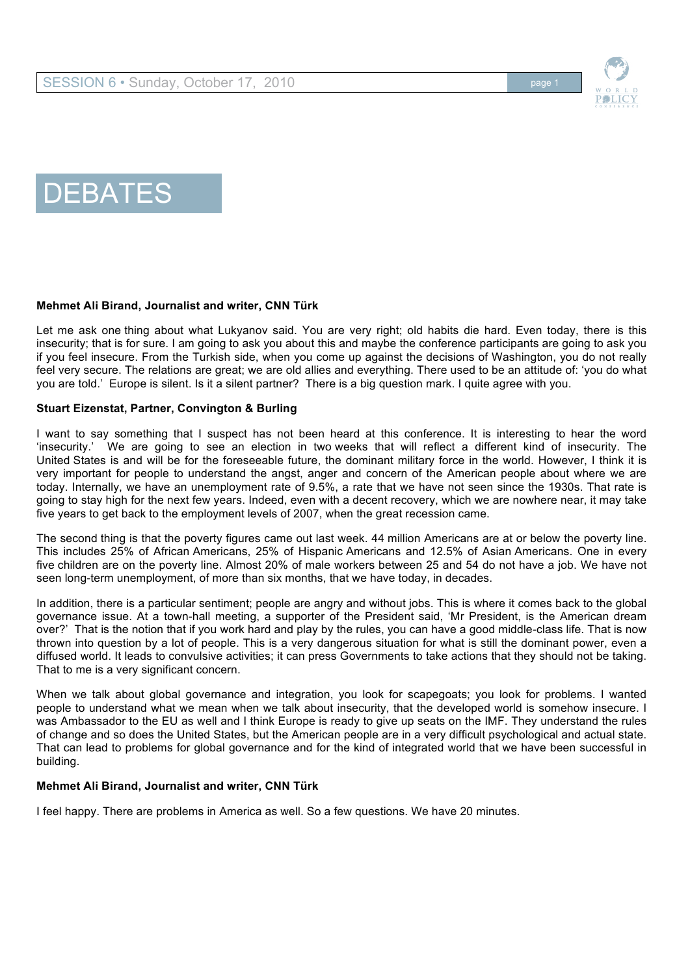



# DEBATES

# **Mehmet Ali Birand, Journalist and writer, CNN Türk**

Let me ask one thing about what Lukyanov said. You are very right; old habits die hard. Even today, there is this insecurity; that is for sure. I am going to ask you about this and maybe the conference participants are going to ask you if you feel insecure. From the Turkish side, when you come up against the decisions of Washington, you do not really feel very secure. The relations are great; we are old allies and everything. There used to be an attitude of: 'you do what you are told.' Europe is silent. Is it a silent partner? There is a big question mark. I quite agree with you.

# **Stuart Eizenstat, Partner, Convington & Burling**

I want to say something that I suspect has not been heard at this conference. It is interesting to hear the word 'insecurity.' We are going to see an election in two weeks that will reflect a different kind of insecurity. The United States is and will be for the foreseeable future, the dominant military force in the world. However, I think it is very important for people to understand the angst, anger and concern of the American people about where we are today. Internally, we have an unemployment rate of 9.5%, a rate that we have not seen since the 1930s. That rate is going to stay high for the next few years. Indeed, even with a decent recovery, which we are nowhere near, it may take five years to get back to the employment levels of 2007, when the great recession came.

The second thing is that the poverty figures came out last week. 44 million Americans are at or below the poverty line. This includes 25% of African Americans, 25% of Hispanic Americans and 12.5% of Asian Americans. One in every five children are on the poverty line. Almost 20% of male workers between 25 and 54 do not have a job. We have not seen long-term unemployment, of more than six months, that we have today, in decades.

In addition, there is a particular sentiment; people are angry and without jobs. This is where it comes back to the global governance issue. At a town-hall meeting, a supporter of the President said, 'Mr President, is the American dream over?' That is the notion that if you work hard and play by the rules, you can have a good middle-class life. That is now thrown into question by a lot of people. This is a very dangerous situation for what is still the dominant power, even a diffused world. It leads to convulsive activities; it can press Governments to take actions that they should not be taking. That to me is a very significant concern.

When we talk about global governance and integration, you look for scapegoats; you look for problems. I wanted people to understand what we mean when we talk about insecurity, that the developed world is somehow insecure. I was Ambassador to the EU as well and I think Europe is ready to give up seats on the IMF. They understand the rules of change and so does the United States, but the American people are in a very difficult psychological and actual state. That can lead to problems for global governance and for the kind of integrated world that we have been successful in building.

# **Mehmet Ali Birand, Journalist and writer, CNN Türk**

I feel happy. There are problems in America as well. So a few questions. We have 20 minutes.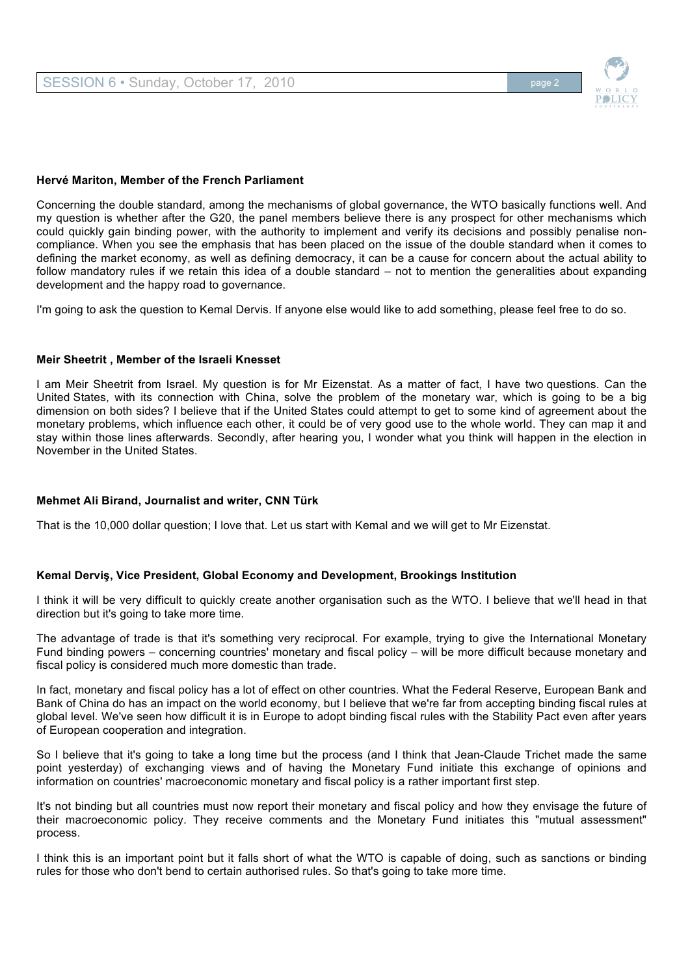

# **Hervé Mariton, Member of the French Parliament**

Concerning the double standard, among the mechanisms of global governance, the WTO basically functions well. And my question is whether after the G20, the panel members believe there is any prospect for other mechanisms which could quickly gain binding power, with the authority to implement and verify its decisions and possibly penalise noncompliance. When you see the emphasis that has been placed on the issue of the double standard when it comes to defining the market economy, as well as defining democracy, it can be a cause for concern about the actual ability to follow mandatory rules if we retain this idea of a double standard – not to mention the generalities about expanding development and the happy road to governance.

I'm going to ask the question to Kemal Dervis. If anyone else would like to add something, please feel free to do so.

# **Meir Sheetrit , Member of the Israeli Knesset**

I am Meir Sheetrit from Israel. My question is for Mr Eizenstat. As a matter of fact, I have two questions. Can the United States, with its connection with China, solve the problem of the monetary war, which is going to be a big dimension on both sides? I believe that if the United States could attempt to get to some kind of agreement about the monetary problems, which influence each other, it could be of very good use to the whole world. They can map it and stay within those lines afterwards. Secondly, after hearing you, I wonder what you think will happen in the election in November in the United States.

# **Mehmet Ali Birand, Journalist and writer, CNN Türk**

That is the 10,000 dollar question; I love that. Let us start with Kemal and we will get to Mr Eizenstat.

# **Kemal Derviş, Vice President, Global Economy and Development, Brookings Institution**

I think it will be very difficult to quickly create another organisation such as the WTO. I believe that we'll head in that direction but it's going to take more time.

The advantage of trade is that it's something very reciprocal. For example, trying to give the International Monetary Fund binding powers – concerning countries' monetary and fiscal policy – will be more difficult because monetary and fiscal policy is considered much more domestic than trade.

In fact, monetary and fiscal policy has a lot of effect on other countries. What the Federal Reserve, European Bank and Bank of China do has an impact on the world economy, but I believe that we're far from accepting binding fiscal rules at global level. We've seen how difficult it is in Europe to adopt binding fiscal rules with the Stability Pact even after years of European cooperation and integration.

So I believe that it's going to take a long time but the process (and I think that Jean-Claude Trichet made the same point yesterday) of exchanging views and of having the Monetary Fund initiate this exchange of opinions and information on countries' macroeconomic monetary and fiscal policy is a rather important first step.

It's not binding but all countries must now report their monetary and fiscal policy and how they envisage the future of their macroeconomic policy. They receive comments and the Monetary Fund initiates this "mutual assessment" process.

I think this is an important point but it falls short of what the WTO is capable of doing, such as sanctions or binding rules for those who don't bend to certain authorised rules. So that's going to take more time.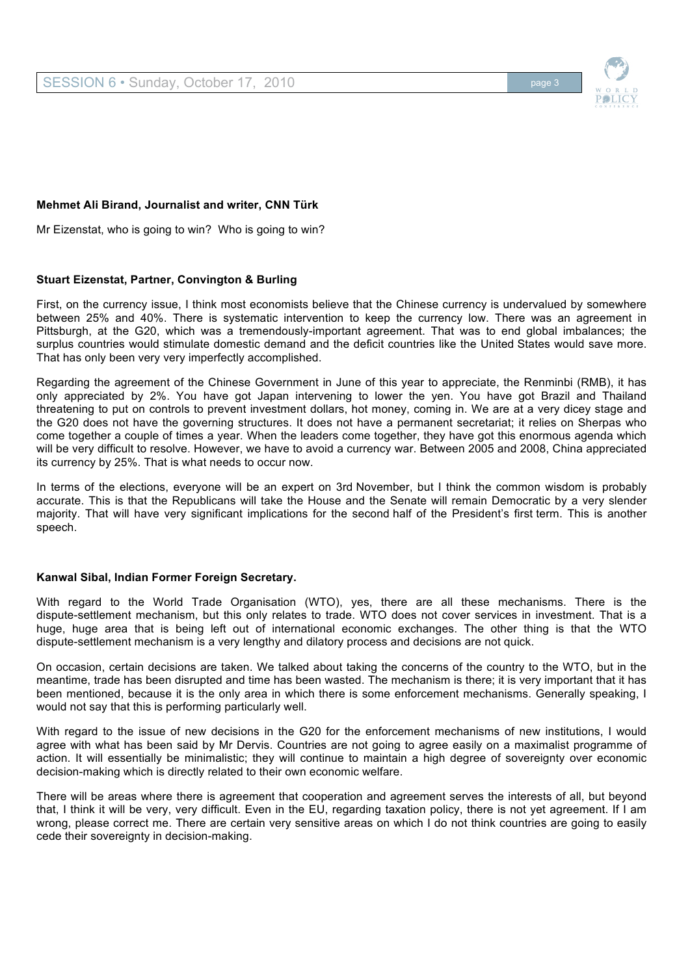# **Mehmet Ali Birand, Journalist and writer, CNN Türk**

Mr Eizenstat, who is going to win? Who is going to win?

# **Stuart Eizenstat, Partner, Convington & Burling**

First, on the currency issue, I think most economists believe that the Chinese currency is undervalued by somewhere between 25% and 40%. There is systematic intervention to keep the currency low. There was an agreement in Pittsburgh, at the G20, which was a tremendously-important agreement. That was to end global imbalances; the surplus countries would stimulate domestic demand and the deficit countries like the United States would save more. That has only been very very imperfectly accomplished.

Regarding the agreement of the Chinese Government in June of this year to appreciate, the Renminbi (RMB), it has only appreciated by 2%. You have got Japan intervening to lower the yen. You have got Brazil and Thailand threatening to put on controls to prevent investment dollars, hot money, coming in. We are at a very dicey stage and the G20 does not have the governing structures. It does not have a permanent secretariat; it relies on Sherpas who come together a couple of times a year. When the leaders come together, they have got this enormous agenda which will be very difficult to resolve. However, we have to avoid a currency war. Between 2005 and 2008, China appreciated its currency by 25%. That is what needs to occur now.

In terms of the elections, everyone will be an expert on 3rd November, but I think the common wisdom is probably accurate. This is that the Republicans will take the House and the Senate will remain Democratic by a very slender majority. That will have very significant implications for the second half of the President's first term. This is another speech.

# **Kanwal Sibal, Indian Former Foreign Secretary.**

With regard to the World Trade Organisation (WTO), yes, there are all these mechanisms. There is the dispute-settlement mechanism, but this only relates to trade. WTO does not cover services in investment. That is a huge, huge area that is being left out of international economic exchanges. The other thing is that the WTO dispute-settlement mechanism is a very lengthy and dilatory process and decisions are not quick.

On occasion, certain decisions are taken. We talked about taking the concerns of the country to the WTO, but in the meantime, trade has been disrupted and time has been wasted. The mechanism is there; it is very important that it has been mentioned, because it is the only area in which there is some enforcement mechanisms. Generally speaking, I would not say that this is performing particularly well.

With regard to the issue of new decisions in the G20 for the enforcement mechanisms of new institutions, I would agree with what has been said by Mr Dervis. Countries are not going to agree easily on a maximalist programme of action. It will essentially be minimalistic; they will continue to maintain a high degree of sovereignty over economic decision-making which is directly related to their own economic welfare.

There will be areas where there is agreement that cooperation and agreement serves the interests of all, but beyond that, I think it will be very, very difficult. Even in the EU, regarding taxation policy, there is not yet agreement. If I am wrong, please correct me. There are certain very sensitive areas on which I do not think countries are going to easily cede their sovereignty in decision-making.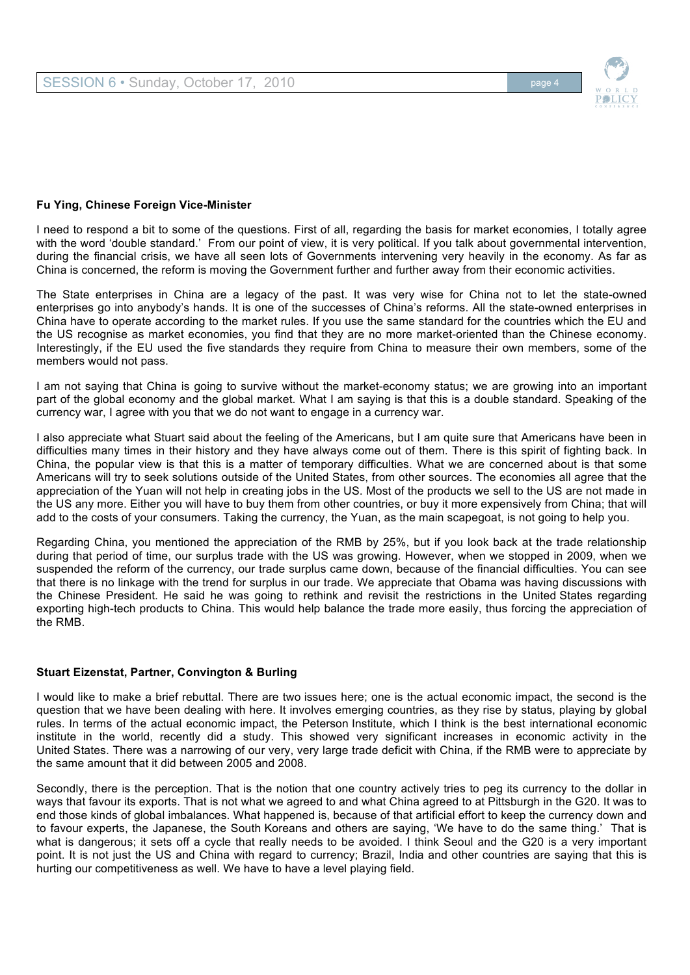

# **Fu Ying, Chinese Foreign Vice-Minister**

I need to respond a bit to some of the questions. First of all, regarding the basis for market economies, I totally agree with the word 'double standard.' From our point of view, it is very political. If you talk about governmental intervention, during the financial crisis, we have all seen lots of Governments intervening very heavily in the economy. As far as China is concerned, the reform is moving the Government further and further away from their economic activities.

The State enterprises in China are a legacy of the past. It was very wise for China not to let the state-owned enterprises go into anybody's hands. It is one of the successes of China's reforms. All the state-owned enterprises in China have to operate according to the market rules. If you use the same standard for the countries which the EU and the US recognise as market economies, you find that they are no more market-oriented than the Chinese economy. Interestingly, if the EU used the five standards they require from China to measure their own members, some of the members would not pass.

I am not saying that China is going to survive without the market-economy status; we are growing into an important part of the global economy and the global market. What I am saying is that this is a double standard. Speaking of the currency war, I agree with you that we do not want to engage in a currency war.

I also appreciate what Stuart said about the feeling of the Americans, but I am quite sure that Americans have been in difficulties many times in their history and they have always come out of them. There is this spirit of fighting back. In China, the popular view is that this is a matter of temporary difficulties. What we are concerned about is that some Americans will try to seek solutions outside of the United States, from other sources. The economies all agree that the appreciation of the Yuan will not help in creating jobs in the US. Most of the products we sell to the US are not made in the US any more. Either you will have to buy them from other countries, or buy it more expensively from China; that will add to the costs of your consumers. Taking the currency, the Yuan, as the main scapegoat, is not going to help you.

Regarding China, you mentioned the appreciation of the RMB by 25%, but if you look back at the trade relationship during that period of time, our surplus trade with the US was growing. However, when we stopped in 2009, when we suspended the reform of the currency, our trade surplus came down, because of the financial difficulties. You can see that there is no linkage with the trend for surplus in our trade. We appreciate that Obama was having discussions with the Chinese President. He said he was going to rethink and revisit the restrictions in the United States regarding exporting high-tech products to China. This would help balance the trade more easily, thus forcing the appreciation of the RMB.

# **Stuart Eizenstat, Partner, Convington & Burling**

I would like to make a brief rebuttal. There are two issues here; one is the actual economic impact, the second is the question that we have been dealing with here. It involves emerging countries, as they rise by status, playing by global rules. In terms of the actual economic impact, the Peterson Institute, which I think is the best international economic institute in the world, recently did a study. This showed very significant increases in economic activity in the United States. There was a narrowing of our very, very large trade deficit with China, if the RMB were to appreciate by the same amount that it did between 2005 and 2008.

Secondly, there is the perception. That is the notion that one country actively tries to peg its currency to the dollar in ways that favour its exports. That is not what we agreed to and what China agreed to at Pittsburgh in the G20. It was to end those kinds of global imbalances. What happened is, because of that artificial effort to keep the currency down and to favour experts, the Japanese, the South Koreans and others are saying, 'We have to do the same thing.' That is what is dangerous; it sets off a cycle that really needs to be avoided. I think Seoul and the G20 is a very important point. It is not just the US and China with regard to currency; Brazil, India and other countries are saying that this is hurting our competitiveness as well. We have to have a level playing field.